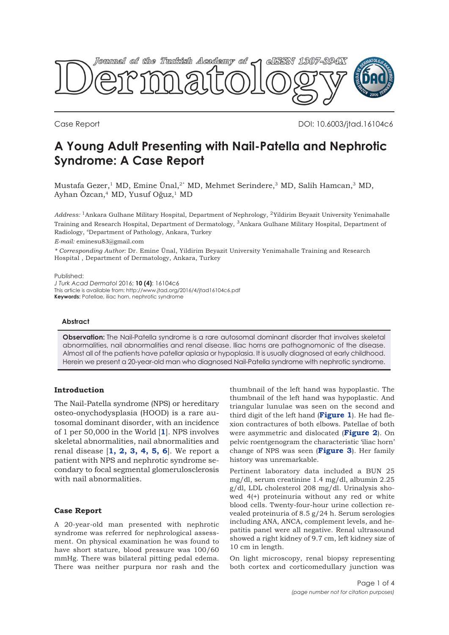

Case Report DOI: 10.6003/jtad.16104c6

# **A Young Adult Presenting with Nail-Patella and Nephrotic Syndrome: A Case Report**

Mustafa Gezer,<sup>1</sup> MD, Emine Ünal,<sup>2\*</sup> MD, Mehmet Serindere,<sup>3</sup> MD, Salih Hamcan,<sup>3</sup> MD, Ayhan Özcan,<sup>4</sup> MD, Yusuf Oğuz,<sup>1</sup> MD

*Address:* 1Ankara Gulhane Military Hospital, Department of Nephrology, 2Yildirim Beyazit University Yenimahalle Training and Research Hospital, Department of Dermatology, 3Ankara Gulhane Military Hospital, Department of Radiology, 4Department of Pathology, Ankara, Turkey

*E-mail:* eminesu83@gmail.com

*\* Corresponding Author:* Dr. Emine Ünal, Yildirim Beyazit University Yenimahalle Training and Research Hospital , Department of Dermatology, Ankara, Turkey

Published:

*J Turk Acad Dermatol* 2016; **10 (4)**: 16104c6 This article is available from: http://www.jtad.org/2016/4/jtad16104c6.pdf **Keywords:** Patellae, iliac horn, nephrotic syndrome

#### **Abstract**

**Observation:** The Nail-Patella syndrome is a rare autosomal dominant disorder that involves skeletal abnormalities, nail abnormalities and renal disease. Iliac horns are pathognomonic of the disease. Almost all of the patients have patellar aplasia or hypoplasia. It is usually diagnosed at early childhood. Herein we present a 20-year-old man who diagnosed Nail-Patella syndrome with nephrotic syndrome.

# **Introduction**

The Nail-Patella syndrome (NPS) or hereditary osteo-onychodysplasia (HOOD) is a rare autosomal dominant disorder, with an incidence of 1 per 50,000 in the World [**[1](#page-2-0)**]. NPS involves skeletal abnormalities, nail abnormalities and renal disease [**[1,](#page-2-0) [2,](#page-2-0) [3, 4,](#page-2-0) [5,](#page-3-0) [6](#page-3-0)**]. We report a patient with NPS and nephrotic syndrome secondary to focal segmental glomerulosclerosis with nail abnormalities.

# **Case Report**

A 20-year-old man presented with nephrotic syndrome was referred for nephrological assessment. On physical examination he was found to have short stature, blood pressure was 100/60 mmHg. There was bilateral pitting pedal edema. There was neither purpura nor rash and the

thumbnail of the left hand was hypoplastic. The thumbnail of the left hand was hypoplastic. And triangular lunulae was seen on the second and third digit of the left hand (**[Figure 1](#page-1-0)**). He had flexion contractures of both elbows. Patellae of both were asymmetric and dislocated (**[Figure 2](#page-2-0)**). On pelvic roentgenogram the characteristic 'iliac horn' change of NPS was seen (**[Figure 3](#page-2-0)**). Her family history was unremarkable.

Pertinent laboratory data included a BUN 25 mg/dl, serum creatinine 1.4 mg/dl, albumin 2.25 g/dl, LDL cholesterol 208 mg/dl. Urinalysis showed 4(+) proteinuria without any red or white blood cells. Twenty-four-hour urine collection revealed proteinuria of 8.5 g/24 h. Serum serologies including ANA, ANCA, complement levels, and hepatitis panel were all negative. Renal ultrasound showed a right kidney of 9.7 cm, left kidney size of 10 cm in length.

On light microscopy, renal biopsy representing both cortex and corticomedullary junction was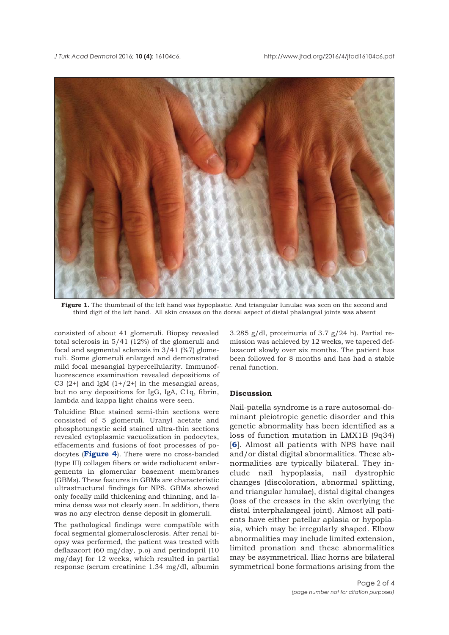<span id="page-1-0"></span>

**Figure 1.** The thumbnail of the left hand was hypoplastic. And triangular lunulae was seen on the second and third digit of the left hand. All skin creases on the dorsal aspect of distal phalangeal joints was absent

consisted of about 41 glomeruli. Biopsy revealed total sclerosis in  $5/41$  (12%) of the glomeruli and focal and segmental sclerosis in 3/41 (%7) glomeruli. Some glomeruli enlarged and demonstrated mild focal mesangial hypercellularity. Immunofluorescence examination revealed depositions of C3  $(2+)$  and IgM  $(1+/2+)$  in the mesangial areas, but no any depositions for IgG, IgA, C1q, fibrin, lambda and kappa light chains were seen.

Toluidine Blue stained semi-thin sections were consisted of 5 glomeruli. Uranyl acetate and phosphotungstic acid stained ultra-thin sections revealed cytoplasmic vacuolization in podocytes, effacements and fusions of foot processes of podocytes (**[Figure 4](#page-3-0)**). There were no cross-banded (type III) collagen fibers or wide radiolucent enlargements in glomerular basement membranes (GBMs). These features in GBMs are characteristic ultrastructural findings for NPS. GBMs showed only focally mild thickening and thinning, and lamina densa was not clearly seen. In addition, there was no any electron dense deposit in glomeruli.

The pathological findings were compatible with focal segmental glomerulosclerosis. After renal biopsy was performed, the patient was treated with deflazacort (60 mg/day, p.o) and perindopril (10 mg/day) for 12 weeks, which resulted in partial response (serum creatinine 1.34 mg/dl, albumin

3.285 g/dl, proteinuria of 3.7 g/24 h). Partial remission was achieved by 12 weeks, we tapered deflazacort slowly over six months. The patient has been followed for 8 months and has had a stable renal function.

## **Discussion**

Nail-patella syndrome is a rare autosomal-dominant pleiotropic genetic disorder and this genetic abnormality has been identified as a loss of function mutation in LMX1B (9q34) [**[6](#page-3-0)**]. Almost all patients with NPS have nail and/or distal digital abnormalities. These abnormalities are typically bilateral. They include nail hypoplasia, nail dystrophic changes (discoloration, abnormal splitting, and triangular lunulae), distal digital changes (loss of the creases in the skin overlying the distal interphalangeal joint). Almost all patients have either patellar aplasia or hypoplasia, which may be irregularly shaped. Elbow abnormalities may include limited extension, limited pronation and these abnormalities may be asymmetrical. Iliac horns are bilateral symmetrical bone formations arising from the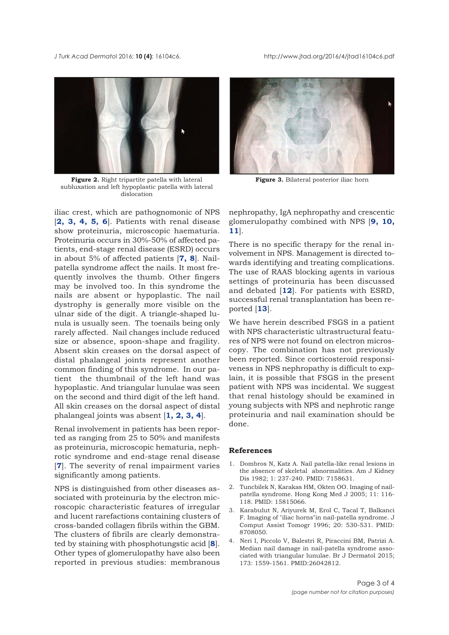<span id="page-2-0"></span>*J Turk Acad Dermato*l 2016; **10 (4)**: 16104c6. http://www.jtad.org/2016/4/jtad16104c6.pdf



**Figure 2.** Right tripartite patella with lateral **Figure 3.** Bilateral posterior iliac horn subluxation and left hypoplastic patella with lateral dislocation

iliac crest, which are pathognomonic of NPS [**2, 3, 4, [5, 6](#page-3-0)**]. Patients with renal disease show proteinuria, microscopic haematuria. Proteinuria occurs in 30%-50% of affected patients, end-stage renal disease (ESRD) occurs in about 5% of affected patients [**[7, 8](#page-3-0)**]. Nailpatella syndrome affect the nails. It most frequently involves the thumb. Other fingers may be involved too. In this syndrome the nails are absent or hypoplastic. The nail dystrophy is generally more visible on the ulnar side of the digit. A triangle-shaped lunula is usually seen. The toenails being only rarely affected. Nail changes include reduced size or absence, spoon-shape and fragility. Absent skin creases on the dorsal aspect of distal phalangeal joints represent another common finding of this syndrome. In our patient the thumbnail of the left hand was hypoplastic. And triangular lunulae was seen on the second and third digit of the left hand. All skin creases on the dorsal aspect of distal phalangeal joints was absent [**1, 2, 3, 4**].

Renal involvement in patients has been reported as ranging from 25 to 50% and manifests as proteinuria, microscopic hematuria, nephrotic syndrome and end-stage renal disease [**[7](#page-3-0)**]. The severity of renal impairment varies significantly among patients.

NPS is distinguished from other diseases associated with proteinuria by the electron microscopic characteristic features of irregular and lucent rarefactions containing clusters of cross-banded collagen fibrils within the GBM. The clusters of fibrils are clearly demonstrated by staining with phosphotungstic acid [**[8](#page-3-0)**]. Other types of glomerulopathy have also been reported in previous studies: membranous



nephropathy, IgA nephropathy and crescentic glomerulopathy combined with NPS [**[9, 10,](#page-3-0) [11](#page-3-0)**].

There is no specific therapy for the renal involvement in NPS. Management is directed towards identifying and treating complications. The use of RAAS blocking agents in various settings of proteinuria has been discussed and debated [**[12](#page-3-0)**]. For patients with ESRD, successful renal transplantation has been reported [**[13](#page-3-0)**].

We have herein described FSGS in a patient with NPS characteristic ultrastructural features of NPS were not found on electron microscopy. The combination has not previously been reported. Since corticosteroid responsiveness in NPS nephropathy is difficult to explain, it is possible that FSGS in the present patient with NPS was incidental. We suggest that renal histology should be examined in young subjects with NPS and nephrotic range proteinuria and nail examination should be done.

## **References**

- 1. Dombros N, Katz A. Nail patella-like renal lesions in the absence of skeletal abnormalities. Am J Kidney Dis 1982; 1: 237-240. PMID: 7158631.
- 2. Tuncbilek N, Karakas HM, Okten OO. Imaging of nailpatella syndrome. Hong Kong Med J 2005; 11: 116- 118. PMID: 15815066.
- 3. Karabulut N, Ariyurek M, Erol C, Tacal T, Balkanci F. Imaging of "iliac horns"in nail-patella syndrome. J Comput Assist Tomogr 1996; 20: 530-531. PMID: 8708050.
- 4. Neri I, Piccolo V, Balestri R, Piraccini BM, Patrizi A. Median nail damage in nail-patella syndrome associated with triangular lunulae. Br J Dermatol 2015; 173: 1559-1561. PMID:26042812.